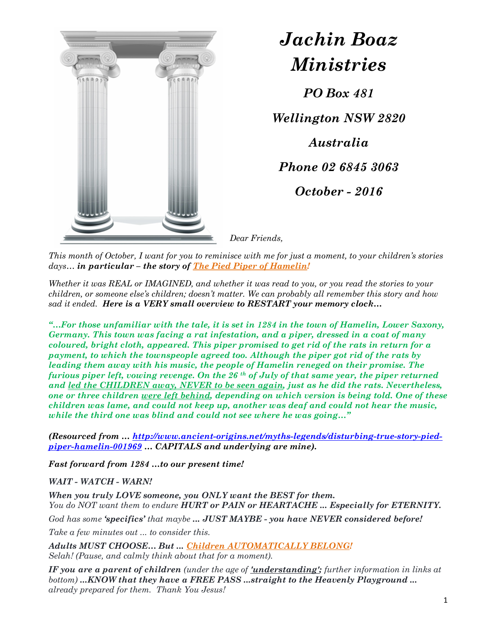

## Jachin Boaz Ministries

PO Box 481

Wellington NSW 2820 Australia Phone 02 6845 3063 October - 2016

Dear Friends,

This month of October, I want for you to reminisce with me for just a moment, to your children's stories  $days...$  in particular – the story of The Pied Piper of Hamelin!

Whether it was REAL or IMAGINED, and whether it was read to you, or you read the stories to your children, or someone else's children; doesn't matter. We can probably all remember this story and how sad it ended. Here is a VERY small overview to RESTART your memory clock...

"...For those unfamiliar with the tale, it is set in  $1284$  in the town of Hamelin, Lower Saxony, Germany. This town was facing a rat infestation, and a piper, dressed in a coat of many coloured, bright cloth, appeared. This piper promised to get rid of the rats in return for a payment, to which the townspeople agreed too. Although the piper got rid of the rats by leading them away with his music, the people of Hamelin reneged on their promise. The furious piper left, vowing revenge. On the 26<sup>th</sup> of July of that same year, the piper returned and led the CHILDREN away, NEVER to be seen again, just as he did the rats. Nevertheless, one or three children were left behind, depending on which version is being told. One of these children was lame, and could not keep up, another was deaf and could not hear the music, while the third one was blind and could not see where he was going..."

(Resourced from … http://www.ancient-origins.net/myths-legends/disturbing-true-story-piedpiper-hamelin-001969 … CAPITALS and underlying are mine).

Fast forward from 1284 …to our present time!

WAIT - WATCH - WARN!

When you truly LOVE someone, you ONLY want the BEST for them. You do NOT want them to endure HURT or PAIN or HEARTACHE ... Especially for ETERNITY. God has some 'specifics' that maybe ... JUST MAYBE - you have NEVER considered before!

Take a few minutes out ... to consider this.

Adults MUST CHOOSE… But ... Children AUTOMATICALLY BELONG! Selah! (Pause, and calmly think about that for a moment).

IF you are a parent of children (under the age of 'understanding'; further information in links at bottom) ...KNOW that they have a FREE PASS ...straight to the Heavenly Playground ... already prepared for them. Thank You Jesus!